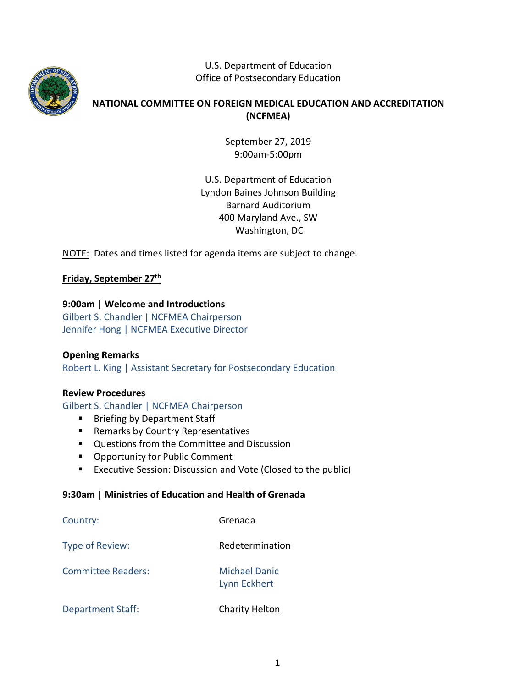

U.S. Department of Education Office of Postsecondary Education

## **NATIONAL COMMITTEE ON FOREIGN MEDICAL EDUCATION AND ACCREDITATION (NCFMEA)**

September 27, 2019 9:00am-5:00pm

U.S. Department of Education Lyndon Baines Johnson Building Barnard Auditorium 400 Maryland Ave., SW Washington, DC

NOTE: Dates and times listed for agenda items are subject to change.

# **Friday, September 27th**

### **9:00am | Welcome and Introductions**

Gilbert S. Chandler | NCFMEA Chairperson Jennifer Hong | NCFMEA Executive Director

### **Opening Remarks**

Robert L. King | Assistant Secretary for Postsecondary Education

### **Review Procedures**

Gilbert S. Chandler | NCFMEA Chairperson

- **Briefing by Department Staff**
- **Remarks by Country Representatives**
- Questions from the Committee and Discussion
- **Opportunity for Public Comment**
- **EXECUTER ASSESS** EXECUSTS **EXECUTE:** Executive Session: Discussion and Vote (Closed to the public)

### **9:30am | Ministries of Education and Health of Grenada**

| Country:                 | Grenada                                     |
|--------------------------|---------------------------------------------|
| Type of Review:          | Redetermination                             |
| Committee Readers:       | <b>Michael Danic</b><br><b>Lynn Eckhert</b> |
| <b>Department Staff:</b> | <b>Charity Helton</b>                       |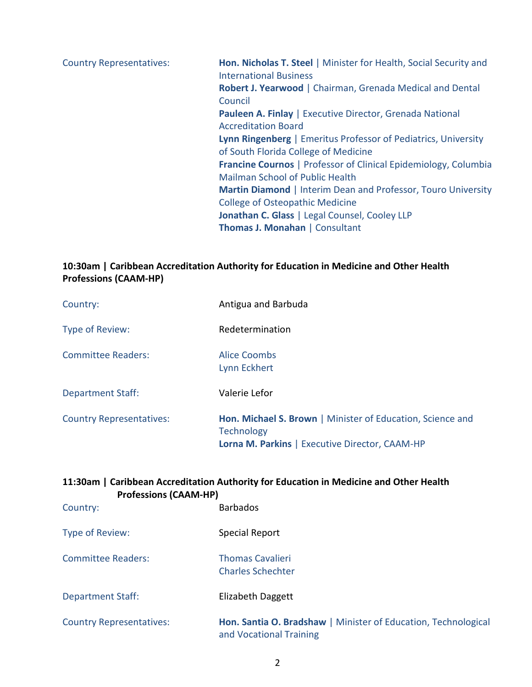Country Representatives: **Hon. Nicholas T. Steel** | Minister for Health, Social Security and International Business **Robert J. Yearwood** | Chairman, Grenada Medical and Dental Council **Pauleen A. Finlay** | Executive Director, Grenada National Accreditation Board **Lynn Ringenberg** | Emeritus Professor of Pediatrics, University of South Florida College of Medicine **Francine Cournos** | Professor of Clinical Epidemiology, Columbia Mailman School of Public Health **Martin Diamond** | Interim Dean and Professor, Touro University College of Osteopathic Medicine **Jonathan C. Glass** | Legal Counsel, Cooley LLP **Thomas J. Monahan** | Consultant

## **10:30am | Caribbean Accreditation Authority for Education in Medicine and Other Health Professions (CAAM-HP)**

| Country:                        | Antigua and Barbuda                                                                                                                      |
|---------------------------------|------------------------------------------------------------------------------------------------------------------------------------------|
| Type of Review:                 | Redetermination                                                                                                                          |
| <b>Committee Readers:</b>       | Alice Coombs<br>Lynn Eckhert                                                                                                             |
| <b>Department Staff:</b>        | Valerie Lefor                                                                                                                            |
| <b>Country Representatives:</b> | Hon. Michael S. Brown   Minister of Education, Science and<br><b>Technology</b><br><b>Lorna M. Parkins   Executive Director, CAAM-HP</b> |

# **11:30am | Caribbean Accreditation Authority for Education in Medicine and Other Health Professions (CAAM-HP)**

| Country:                        | <b>Barbados</b>                                                                           |
|---------------------------------|-------------------------------------------------------------------------------------------|
| Type of Review:                 | Special Report                                                                            |
| <b>Committee Readers:</b>       | <b>Thomas Cavalieri</b><br><b>Charles Schechter</b>                                       |
| <b>Department Staff:</b>        | Elizabeth Daggett                                                                         |
| <b>Country Representatives:</b> | Hon. Santia O. Bradshaw   Minister of Education, Technological<br>and Vocational Training |